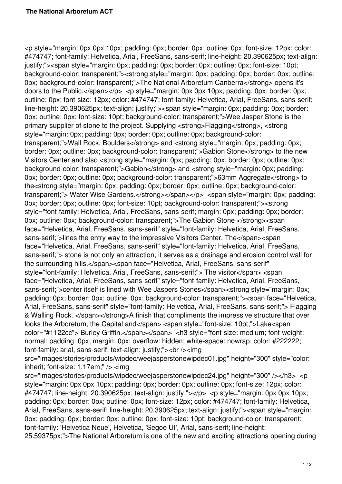<p style="margin: 0px 0px 10px; padding: 0px; border: 0px; outline: 0px; font-size: 12px; color: #474747; font-family: Helvetica, Arial, FreeSans, sans-serif; line-height: 20.390625px; text-align: justify;"><span style="margin: 0px; padding: 0px; border: 0px; outline: 0px; font-size: 10pt; background-color: transparent;"><strong style="margin: 0px; padding: 0px; border: 0px; outline: 0px; background-color: transparent;">The National Arboretum Canberra</strong> opens it's doors to the Public. $\langle$ span $\rangle$  $\langle$ p $\rangle$   $\langle$ p style="margin: 0px 0px 10px; padding: 0px; border: 0px; outline: 0px; font-size: 12px; color: #474747; font-family: Helvetica, Arial, FreeSans, sans-serif; line-height: 20.390625px; text-align: justify;"><span style="margin: 0px; padding: 0px; border: 0px; outline: 0px; font-size: 10pt; background-color: transparent;">Wee Jasper Stone is the primary supplier of stone to the project. Supplying <strong>Flagging</strong>, <strong style="margin: 0px; padding: 0px; border: 0px; outline: 0px; background-color: transparent;">Wall Rock, Boulders</strong> and <strong style="margin: 0px; padding: 0px; border: 0px; outline: 0px; background-color: transparent;">Gabion Stone</strong> to the new Visitors Center and also <strong style="margin: 0px; padding: 0px; border: 0px; outline: 0px; background-color: transparent;">Gabion</strong> and <strong style="margin: 0px; padding: 0px; border: 0px; outline: 0px; background-color: transparent;">63mm Aggregate</strong> to the<strong style="margin: 0px; padding: 0px; border: 0px; outline: 0px; background-color: transparent;"> Water Wise Gardens.</strong></span></p><span style="margin: 0px; padding: 0px; border: 0px; outline: 0px; font-size: 10pt; background-color: transparent;"><strong style="font-family: Helvetica, Arial, FreeSans, sans-serif; margin: 0px; padding: 0px; border: 0px; outline: 0px; background-color: transparent;">The Gabion Stone </strong><span face="Helvetica, Arial, FreeSans, sans-serif" style="font-family: Helvetica, Arial, FreeSans, sans-serif;">lines the entry way to the impressive Visitors Center. The</span><span face="Helvetica, Arial, FreeSans, sans-serif" style="font-family: Helvetica, Arial, FreeSans, sans-serif;"> stone is not only an attraction, it serves as a drainage and erosion control wall for the surrounding hills.</span><span face="Helvetica, Arial, FreeSans, sans-serif" style="font-family: Helvetica, Arial, FreeSans, sans-serif;"> The visitor</span> <span face="Helvetica, Arial, FreeSans, sans-serif" style="font-family: Helvetica, Arial, FreeSans, sans-serif;">center itself is lined with Wee Jaspers Stones</span><strong style="margin: 0px; padding: 0px; border: 0px; outline: 0px; background-color: transparent;"><span face="Helvetica, Arial, FreeSans, sans-serif" style="font-family: Helvetica, Arial, FreeSans, sans-serif;"> Flagging & Walling Rock. </span></strong>A finish that compliments the impressive structure that over looks the Arboretum, the Capital and</span> <span style="font-size: 10pt;">Lake<span color="#1122cc"> Burley Griffin.</span></span> <h3 style="font-size: medium; font-weight: normal; padding: 0px; margin: 0px; overflow: hidden; white-space: nowrap; color: #222222; font-family: arial, sans-serif; text-align: justify;"><br /><img

src="images/stories/products/wipdec/weejasperstonewipdec01.jpg" height="300" style="color: inherit; font-size: 1.17em;" /> <img

src="images/stories/products/wipdec/weejasperstonewipdec24.jpg" height="300" /></h3> <p style="margin: 0px 0px 10px; padding: 0px; border: 0px; outline: 0px; font-size: 12px; color: #474747; line-height: 20.390625px; text-align: justify;"></p> <p style="margin: 0px 0px 10px; padding: 0px; border: 0px; outline: 0px; font-size: 12px; color: #474747; font-family: Helvetica, Arial, FreeSans, sans-serif; line-height: 20.390625px; text-align: justify;"><span style="margin: 0px; padding: 0px; border: 0px; outline: 0px; font-size: 10pt; background-color: transparent; font-family: 'Helvetica Neue', Helvetica, 'Segoe UI', Arial, sans-serif; line-height: 25.59375px;">The National Arboretum is one of the new and exciting attractions opening during